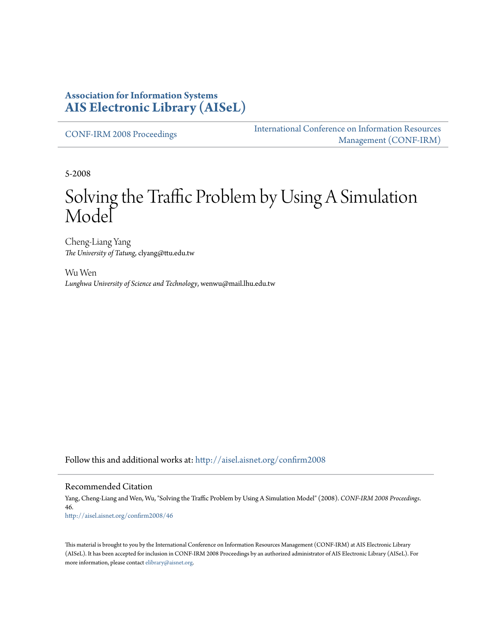#### **Association for Information Systems [AIS Electronic Library \(AISeL\)](http://aisel.aisnet.org?utm_source=aisel.aisnet.org%2Fconfirm2008%2F46&utm_medium=PDF&utm_campaign=PDFCoverPages)**

[CONF-IRM 2008 Proceedings](http://aisel.aisnet.org/confirm2008?utm_source=aisel.aisnet.org%2Fconfirm2008%2F46&utm_medium=PDF&utm_campaign=PDFCoverPages)

[International Conference on Information Resources](http://aisel.aisnet.org/conf-irm?utm_source=aisel.aisnet.org%2Fconfirm2008%2F46&utm_medium=PDF&utm_campaign=PDFCoverPages) [Management \(CONF-IRM\)](http://aisel.aisnet.org/conf-irm?utm_source=aisel.aisnet.org%2Fconfirm2008%2F46&utm_medium=PDF&utm_campaign=PDFCoverPages)

5-2008

# Solving the Traffic Problem by Using A Simulation Model

Cheng-Liang Yang *The University of Tatung*, clyang@ttu.edu.tw

Wu Wen *Lunghwa University of Science and Technology*, wenwu@mail.lhu.edu.tw

Follow this and additional works at: [http://aisel.aisnet.org/confirm2008](http://aisel.aisnet.org/confirm2008?utm_source=aisel.aisnet.org%2Fconfirm2008%2F46&utm_medium=PDF&utm_campaign=PDFCoverPages)

#### Recommended Citation

Yang, Cheng-Liang and Wen, Wu, "Solving the Traffic Problem by Using A Simulation Model" (2008). *CONF-IRM 2008 Proceedings*. 46. [http://aisel.aisnet.org/confirm2008/46](http://aisel.aisnet.org/confirm2008/46?utm_source=aisel.aisnet.org%2Fconfirm2008%2F46&utm_medium=PDF&utm_campaign=PDFCoverPages)

This material is brought to you by the International Conference on Information Resources Management (CONF-IRM) at AIS Electronic Library (AISeL). It has been accepted for inclusion in CONF-IRM 2008 Proceedings by an authorized administrator of AIS Electronic Library (AISeL). For more information, please contact [elibrary@aisnet.org.](mailto:elibrary@aisnet.org%3E)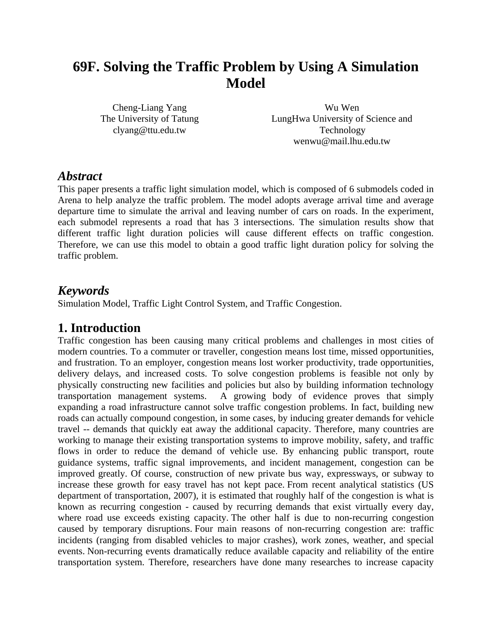# **69F. Solving the Traffic Problem by Using A Simulation Model**

Cheng-Liang Yang The University of Tatung clyang@ttu.edu.tw

Wu Wen LungHwa University of Science and Technology wenwu@mail.lhu.edu.tw

#### *Abstract*

This paper presents a traffic light simulation model, which is composed of 6 submodels coded in Arena to help analyze the traffic problem. The model adopts average arrival time and average departure time to simulate the arrival and leaving number of cars on roads. In the experiment, each submodel represents a road that has 3 intersections. The simulation results show that different traffic light duration policies will cause different effects on traffic congestion. Therefore, we can use this model to obtain a good traffic light duration policy for solving the traffic problem.

#### *Keywords*

Simulation Model, Traffic Light Control System, and Traffic Congestion.

# **1. Introduction**

Traffic congestion has been causing many critical problems and challenges in most cities of modern countries. To a commuter or traveller, congestion means lost time, missed opportunities, and frustration. To an employer, congestion means lost worker productivity, trade opportunities, delivery delays, and increased costs. To solve congestion problems is feasible not only by physically constructing new facilities and policies but also by building information technology transportation management systems. A growing body of evidence proves that simply expanding a road infrastructure cannot solve traffic congestion problems. In fact, building new roads can actually compound congestion, in some cases, by inducing greater demands for vehicle travel -- demands that quickly eat away the additional capacity. Therefore, many countries are working to manage their existing transportation systems to improve mobility, safety, and traffic flows in order to reduce the demand of vehicle use. By enhancing public transport, route guidance systems, traffic signal improvements, and incident management, congestion can be improved greatly. Of course, construction of new private bus way, expressways, or subway to increase these growth for easy travel has not kept pace. From recent analytical statistics (US department of transportation, 2007), it is estimated that roughly half of the congestion is what is known as recurring congestion - caused by recurring demands that exist virtually every day, where road use exceeds existing capacity. The other half is due to non-recurring congestion caused by temporary disruptions. Four main reasons of non-recurring congestion are: traffic incidents (ranging from disabled vehicles to major crashes), work zones, weather, and special events. Non-recurring events dramatically reduce available capacity and reliability of the entire transportation system. Therefore, researchers have done many researches to increase capacity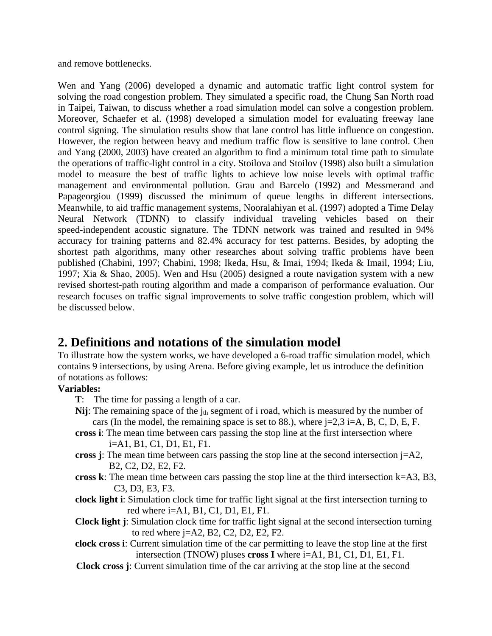and remove bottlenecks.

Wen and Yang (2006) developed a dynamic and automatic traffic light control system for solving the road congestion problem. They simulated a specific road, the Chung San North road in Taipei, Taiwan, to discuss whether a road simulation model can solve a congestion problem. Moreover, Schaefer et al. (1998) developed a simulation model for evaluating freeway lane control signing. The simulation results show that lane control has little influence on congestion. However, the region between heavy and medium traffic flow is sensitive to lane control. Chen and Yang (2000, 2003) have created an algorithm to find a minimum total time path to simulate the operations of traffic-light control in a city. Stoilova and Stoilov (1998) also built a simulation model to measure the best of traffic lights to achieve low noise levels with optimal traffic management and environmental pollution. Grau and Barcelo (1992) and Messmerand and Papageorgiou (1999) discussed the minimum of queue lengths in different intersections. Meanwhile, to aid traffic management systems, Nooralahiyan et al. (1997) adopted a Time Delay Neural Network (TDNN) to classify individual traveling vehicles based on their speed-independent acoustic signature. The TDNN network was trained and resulted in 94% accuracy for training patterns and 82.4% accuracy for test patterns. Besides, by adopting the shortest path algorithms, many other researches about solving traffic problems have been published (Chabini, 1997; Chabini, 1998; Ikeda, Hsu, & Imai, 1994; Ikeda & Imail, 1994; Liu, 1997; Xia & Shao, 2005). Wen and Hsu (2005) designed a route navigation system with a new revised shortest-path routing algorithm and made a comparison of performance evaluation. Our research focuses on traffic signal improvements to solve traffic congestion problem, which will be discussed below.

# **2. Definitions and notations of the simulation model**

To illustrate how the system works, we have developed a 6-road traffic simulation model, which contains 9 intersections, by using Arena. Before giving example, let us introduce the definition of notations as follows:

#### **Variables:**

- **T**: The time for passing a length of a car.
- **Nij**: The remaining space of the  $j_{th}$  segment of i road, which is measured by the number of cars (In the model, the remaining space is set to 88.), where  $j=2,3$  i=A, B, C, D, E, F.
- **cross i**: The mean time between cars passing the stop line at the first intersection where i=A1, B1, C1, D1, E1, F1.
- **cross j**: The mean time between cars passing the stop line at the second intersection  $j= A2$ , B2, C2, D2, E2, F2.
- **cross k**: The mean time between cars passing the stop line at the third intersection k=A3, B3, C3, D3, E3, F3.
- **clock light i**: Simulation clock time for traffic light signal at the first intersection turning to red where i=A1, B1, C1, D1, E1, F1.
- **Clock light j**: Simulation clock time for traffic light signal at the second intersection turning to red where j=A2, B2, C2, D2, E2, F2.
- **clock cross i**: Current simulation time of the car permitting to leave the stop line at the first intersection (TNOW) pluses **cross I** where i=A1, B1, C1, D1, E1, F1.
- **Clock cross j**: Current simulation time of the car arriving at the stop line at the second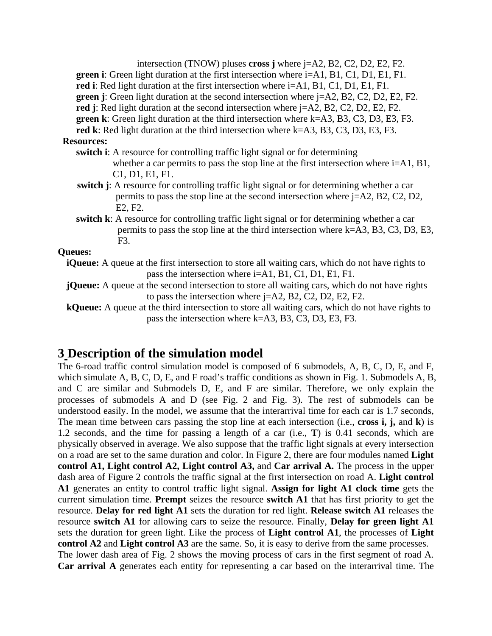| intersection (TNOW) pluses <b>cross</b> j where $j=$ A2, B2, C2, D2, E2, F2.                                      |
|-------------------------------------------------------------------------------------------------------------------|
| <b>green i</b> : Green light duration at the first intersection where $i=AI$ , $B1$ , $C1$ , $D1$ , $E1$ , $F1$ . |
| red i: Red light duration at the first intersection where i=A1, B1, C1, D1, E1, F1.                               |
| green j: Green light duration at the second intersection where j=A2, B2, C2, D2, E2, F2.                          |
| red j: Red light duration at the second intersection where $j= A2$ , B2, C2, D2, E2, F2.                          |
| <b>green k</b> : Green light duration at the third intersection where $k= A3$ , B3, C3, D3, E3, F3.               |
| red k: Red light duration at the third intersection where k=A3, B3, C3, D3, E3, F3.                               |
| <b>Resources:</b>                                                                                                 |
| switch i: A resource for controlling traffic light signal or for determining                                      |
| whether a car permits to pass the stop line at the first intersection where $i=$ A1, B1,                          |
| C1, D1, E1, F1.                                                                                                   |
| switch j: A resource for controlling traffic light signal or for determining whether a car                        |
| permits to pass the stop line at the second intersection where j=A2, B2, C2, D2,                                  |
| E2, F2.                                                                                                           |
| switch k: A resource for controlling traffic light signal or for determining whether a car                        |
| permits to pass the stop line at the third intersection where $k= A3, B3, C3, D3, E3,$                            |
| F3.                                                                                                               |
| Queues:                                                                                                           |
| <b>iQueue:</b> A queue at the first intersection to store all waiting cars, which do not have rights to           |
| pass the intersection where i=A1, B1, C1, D1, E1, F1.                                                             |
| jQueue: A queue at the second intersection to store all waiting cars, which do not have rights                    |
| to pass the intersection where $j=A2$ , B2, C2, D2, E2, F2.                                                       |
| kQueue: A queue at the third intersection to store all waiting cars, which do not have rights to                  |
| pass the intersection where k=A3, B3, C3, D3, E3, F3.                                                             |
|                                                                                                                   |
|                                                                                                                   |

# **3 Description of the simulation model**

The 6-road traffic control simulation model is composed of 6 submodels, A, B, C, D, E, and F, which simulate A, B, C, D, E, and F road's traffic conditions as shown in Fig. 1. Submodels A, B, and C are similar and Submodels D, E, and F are similar. Therefore, we only explain the processes of submodels A and D (see Fig. 2 and Fig. 3). The rest of submodels can be understood easily. In the model, we assume that the interarrival time for each car is 1.7 seconds, The mean time between cars passing the stop line at each intersection (i.e., **cross i, j,** and **k**) is 1.2 seconds, and the time for passing a length of a car (i.e., **T**) is 0.41 seconds, which are physically observed in average. We also suppose that the traffic light signals at every intersection on a road are set to the same duration and color. In Figure 2, there are four modules named **Light control A1, Light control A2, Light control A3,** and **Car arrival A.** The process in the upper dash area of Figure 2 controls the traffic signal at the first intersection on road A. **Light control A1** generates an entity to control traffic light signal. **Assign for light A1 clock time** gets the current simulation time. **Prempt** seizes the resource **switch A1** that has first priority to get the resource. **Delay for red light A1** sets the duration for red light. **Release switch A1** releases the resource **switch A1** for allowing cars to seize the resource. Finally, **Delay for green light A1**  sets the duration for green light. Like the process of **Light control A1**, the processes of **Light control A2** and **Light control A3** are the same. So, it is easy to derive from the same processes. The lower dash area of Fig. 2 shows the moving process of cars in the first segment of road A. **Car arrival A** generates each entity for representing a car based on the interarrival time. The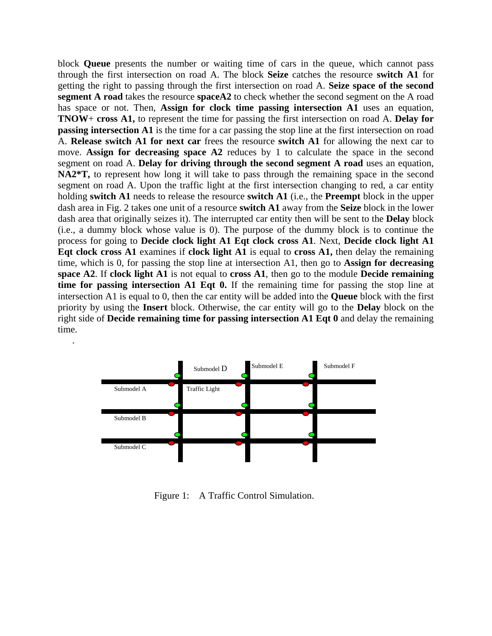block **Queue** presents the number or waiting time of cars in the queue, which cannot pass through the first intersection on road A. The block **Seize** catches the resource **switch A1** for getting the right to passing through the first intersection on road A. **Seize space of the second segment A road** takes the resource **spaceA2** to check whether the second segment on the A road has space or not. Then, **Assign for clock time passing intersection A1** uses an equation, **TNOW**+ **cross A1,** to represent the time for passing the first intersection on road A. **Delay for passing intersection A1** is the time for a car passing the stop line at the first intersection on road A. **Release switch A1 for next car** frees the resource **switch A1** for allowing the next car to move. **Assign for decreasing space A2** reduces by 1 to calculate the space in the second segment on road A. **Delay for driving through the second segment A road** uses an equation, **NA2\*T,** to represent how long it will take to pass through the remaining space in the second segment on road A. Upon the traffic light at the first intersection changing to red, a car entity holding **switch A1** needs to release the resource **switch A1** (i.e., the **Preempt** block in the upper dash area in Fig. 2 takes one unit of a resource **switch A1** away from the **Seize** block in the lower dash area that originally seizes it). The interrupted car entity then will be sent to the **Delay** block (i.e., a dummy block whose value is 0). The purpose of the dummy block is to continue the process for going to **Decide clock light A1 Eqt clock cross A1**. Next, **Decide clock light A1 Eqt clock cross A1** examines if **clock light A1** is equal to **cross A1,** then delay the remaining time, which is 0, for passing the stop line at intersection A1, then go to **Assign for decreasing space A2**. If **clock light A1** is not equal to **cross A1**, then go to the module **Decide remaining time for passing intersection A1 Eqt 0.** If the remaining time for passing the stop line at intersection A1 is equal to 0, then the car entity will be added into the **Queue** block with the first priority by using the **Insert** block. Otherwise, the car entity will go to the **Delay** block on the right side of **Decide remaining time for passing intersection A1 Eqt 0** and delay the remaining time.



.

Figure 1: A Traffic Control Simulation.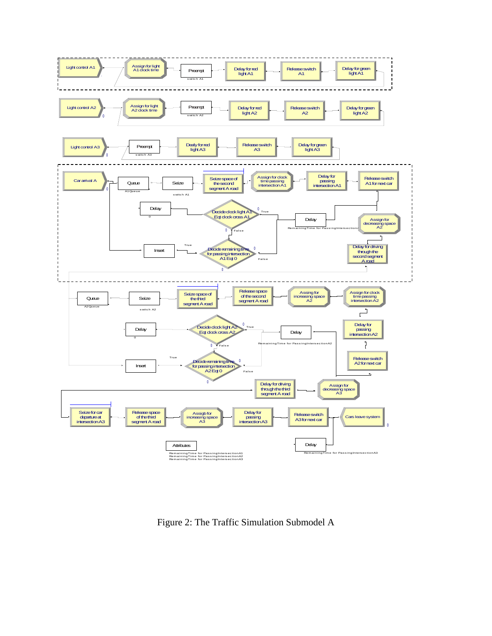

Figure 2: The Traffic Simulation Submodel A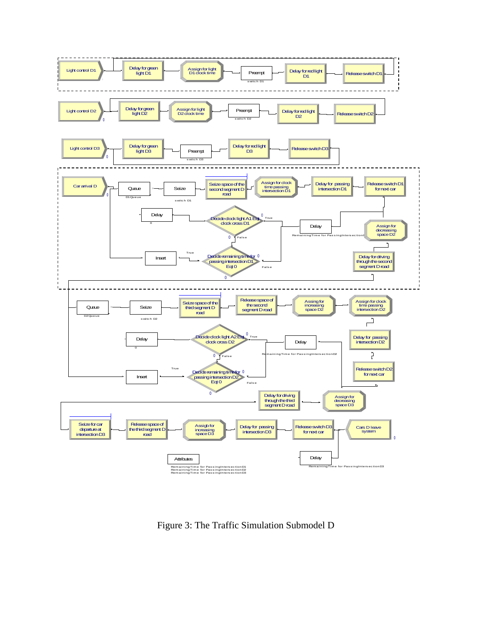

Figure 3: The Traffic Simulation Submodel D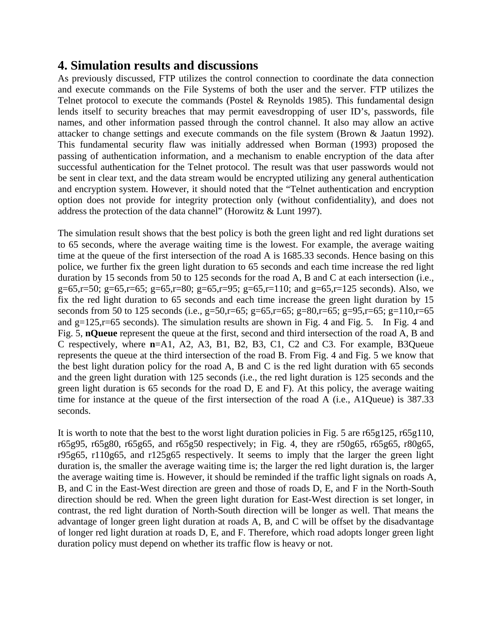# **4. Simulation results and discussions**

As previously discussed, FTP utilizes the control connection to coordinate the data connection and execute commands on the File Systems of both the user and the server. FTP utilizes the Telnet protocol to execute the commands (Postel & Reynolds 1985). This fundamental design lends itself to security breaches that may permit eavesdropping of user ID's, passwords, file names, and other information passed through the control channel. It also may allow an active attacker to change settings and execute commands on the file system (Brown & Jaatun 1992). This fundamental security flaw was initially addressed when Borman (1993) proposed the passing of authentication information, and a mechanism to enable encryption of the data after successful authentication for the Telnet protocol. The result was that user passwords would not be sent in clear text, and the data stream would be encrypted utilizing any general authentication and encryption system. However, it should noted that the "Telnet authentication and encryption option does not provide for integrity protection only (without confidentiality), and does not address the protection of the data channel" (Horowitz & Lunt 1997).

The simulation result shows that the best policy is both the green light and red light durations set to 65 seconds, where the average waiting time is the lowest. For example, the average waiting time at the queue of the first intersection of the road A is 1685.33 seconds. Hence basing on this police, we further fix the green light duration to 65 seconds and each time increase the red light duration by 15 seconds from 50 to 125 seconds for the road A, B and C at each intersection (i.e., g=65,r=50; g=65,r=65; g=65,r=80; g=65,r=95; g=65,r=110; and g=65,r=125 seconds). Also, we fix the red light duration to 65 seconds and each time increase the green light duration by 15 seconds from 50 to 125 seconds (i.e., g=50,r=65; g=65,r=65; g=80,r=65; g=95,r=65; g=110,r=65 and  $g=125$ ,  $r=65$  seconds). The simulation results are shown in Fig. 4 and Fig. 5. In Fig. 4 and Fig. 5, **nQueue** represent the queue at the first, second and third intersection of the road A, B and C respectively, where **n**=A1, A2, A3, B1, B2, B3, C1, C2 and C3. For example, B3Queue represents the queue at the third intersection of the road B. From Fig. 4 and Fig. 5 we know that the best light duration policy for the road A, B and C is the red light duration with 65 seconds and the green light duration with 125 seconds (i.e., the red light duration is 125 seconds and the green light duration is 65 seconds for the road D, E and F). At this policy, the average waiting time for instance at the queue of the first intersection of the road A (i.e., A1Queue) is 387.33 seconds.

It is worth to note that the best to the worst light duration policies in Fig. 5 are r65g125, r65g110, r65g95, r65g80, r65g65, and r65g50 respectively; in Fig. 4, they are r50g65, r65g65, r80g65, r95g65, r110g65, and r125g65 respectively. It seems to imply that the larger the green light duration is, the smaller the average waiting time is; the larger the red light duration is, the larger the average waiting time is. However, it should be reminded if the traffic light signals on roads A, B, and C in the East-West direction are green and those of roads D, E, and F in the North-South direction should be red. When the green light duration for East-West direction is set longer, in contrast, the red light duration of North-South direction will be longer as well. That means the advantage of longer green light duration at roads A, B, and C will be offset by the disadvantage of longer red light duration at roads D, E, and F. Therefore, which road adopts longer green light duration policy must depend on whether its traffic flow is heavy or not.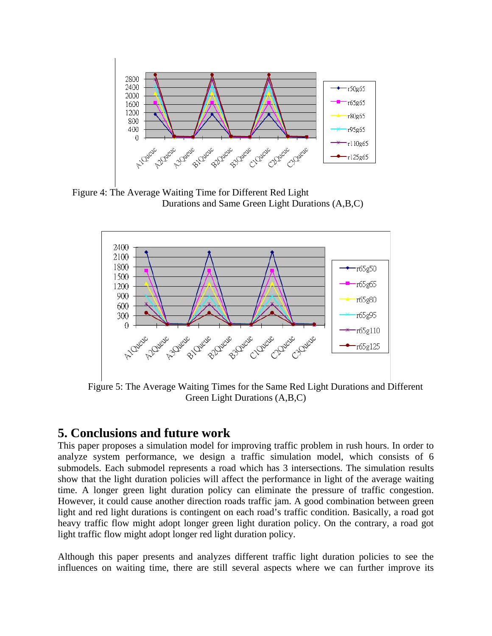

Figure 4: The Average Waiting Time for Different Red Light Durations and Same Green Light Durations (A,B,C)



Figure 5: The Average Waiting Times for the Same Red Light Durations and Different Green Light Durations (A,B,C)

# **5. Conclusions and future work**

This paper proposes a simulation model for improving traffic problem in rush hours. In order to analyze system performance, we design a traffic simulation model, which consists of 6 submodels. Each submodel represents a road which has 3 intersections. The simulation results show that the light duration policies will affect the performance in light of the average waiting time. A longer green light duration policy can eliminate the pressure of traffic congestion. However, it could cause another direction roads traffic jam. A good combination between green light and red light durations is contingent on each road's traffic condition. Basically, a road got heavy traffic flow might adopt longer green light duration policy. On the contrary, a road got light traffic flow might adopt longer red light duration policy.

Although this paper presents and analyzes different traffic light duration policies to see the influences on waiting time, there are still several aspects where we can further improve its